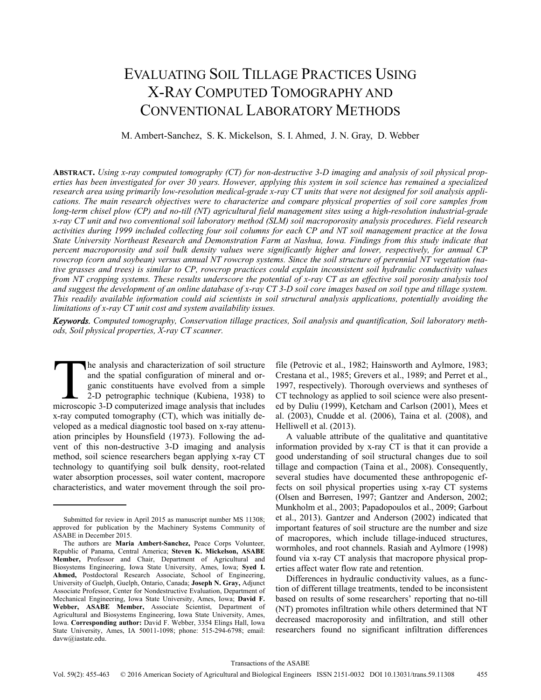# EVALUATING SOIL TILLAGE PRACTICES USING X-RAY COMPUTED TOMOGRAPHY AND CONVENTIONAL LABORATORY METHODS

M. Ambert-Sanchez, S. K. Mickelson, S. I. Ahmed, J. N. Gray, D. Webber

**ABSTRACT.** *Using x-ray computed tomography (CT) for non-destructive 3-D imaging and analysis of soil physical properties has been investigated for over 30 years. However, applying this system in soil science has remained a specialized research area using primarily low-resolution medical-grade x-ray CT units that were not designed for soil analysis applications. The main research objectives were to characterize and compare physical properties of soil core samples from long-term chisel plow (CP) and no-till (NT) agricultural field management sites using a high-resolution industrial-grade x-ray CT unit and two conventional soil laboratory method (SLM) soil macroporosity analysis procedures. Field research activities during 1999 included collecting four soil columns for each CP and NT soil management practice at the Iowa State University Northeast Research and Demonstration Farm at Nashua, Iowa. Findings from this study indicate that percent macroporosity and soil bulk density values were significantly higher and lower, respectively, for annual CP rowcrop (corn and soybean) versus annual NT rowcrop systems. Since the soil structure of perennial NT vegetation (native grasses and trees) is similar to CP, rowcrop practices could explain inconsistent soil hydraulic conductivity values from NT cropping systems. These results underscore the potential of x-ray CT as an effective soil porosity analysis tool and suggest the development of an online database of x-ray CT 3-D soil core images based on soil type and tillage system. This readily available information could aid scientists in soil structural analysis applications, potentially avoiding the limitations of x-ray CT unit cost and system availability issues.* 

*Keywords. Computed tomography, Conservation tillage practices, Soil analysis and quantification, Soil laboratory methods, Soil physical properties, X-ray CT scanner.* 

he analysis and characterization of soil structure and the spatial configuration of mineral and organic constituents have evolved from a simple 2-D petrographic technique (Kubiena, 1938) to The analysis and characterization of soil structure<br>and the spatial configuration of mineral and or-<br>ganic constituents have evolved from a simple<br>2-D petrographic technique (Kubiena, 1938) to<br>microscopic 3-D computerized x-ray computed tomography (CT), which was initially developed as a medical diagnostic tool based on x-ray attenuation principles by Hounsfield (1973). Following the advent of this non-destructive 3-D imaging and analysis method, soil science researchers began applying x-ray CT technology to quantifying soil bulk density, root-related water absorption processes, soil water content, macropore characteristics, and water movement through the soil pro-

file (Petrovic et al., 1982; Hainsworth and Aylmore, 1983; Crestana et al., 1985; Grevers et al., 1989; and Perret et al., 1997, respectively). Thorough overviews and syntheses of CT technology as applied to soil science were also presented by Duliu (1999), Ketcham and Carlson (2001), Mees et al. (2003), Cnudde et al. (2006), Taina et al. (2008), and Helliwell et al. (2013).

A valuable attribute of the qualitative and quantitative information provided by x-ray CT is that it can provide a good understanding of soil structural changes due to soil tillage and compaction (Taina et al., 2008). Consequently, several studies have documented these anthropogenic effects on soil physical properties using x-ray CT systems (Olsen and Børresen, 1997; Gantzer and Anderson, 2002; Munkholm et al., 2003; Papadopoulos et al., 2009; Garbout et al., 2013). Gantzer and Anderson (2002) indicated that important features of soil structure are the number and size of macropores, which include tillage-induced structures, wormholes, and root channels. Rasiah and Aylmore (1998) found via x-ray CT analysis that macropore physical properties affect water flow rate and retention.

Differences in hydraulic conductivity values, as a function of different tillage treatments, tended to be inconsistent based on results of some researchers' reporting that no-till (NT) promotes infiltration while others determined that NT decreased macroporosity and infiltration, and still other researchers found no significant infiltration differences

Submitted for review in April 2015 as manuscript number MS 11308; approved for publication by the Machinery Systems Community of ASABE in December 2015.

The authors are **Maria Ambert-Sanchez,** Peace Corps Volunteer, Republic of Panama, Central America; **Steven K. Mickelson, ASABE Member,** Professor and Chair, Department of Agricultural and Biosystems Engineering, Iowa State University, Ames, Iowa; **Syed I. Ahmed,** Postdoctoral Research Associate, School of Engineering, University of Guelph, Guelph, Ontario, Canada; **Joseph N. Gray,** Adjunct Associate Professor, Center for Nondestructive Evaluation, Department of Mechanical Engineering, Iowa State University, Ames, Iowa; **David F. Webber, ASABE Member,** Associate Scientist, Department of Agricultural and Biosystems Engineering, Iowa State University, Ames, Iowa. **Corresponding author:** David F. Webber, 3354 Elings Hall, Iowa State University, Ames, IA 50011-1098; phone: 515-294-6798; email: davw@iastate.edu.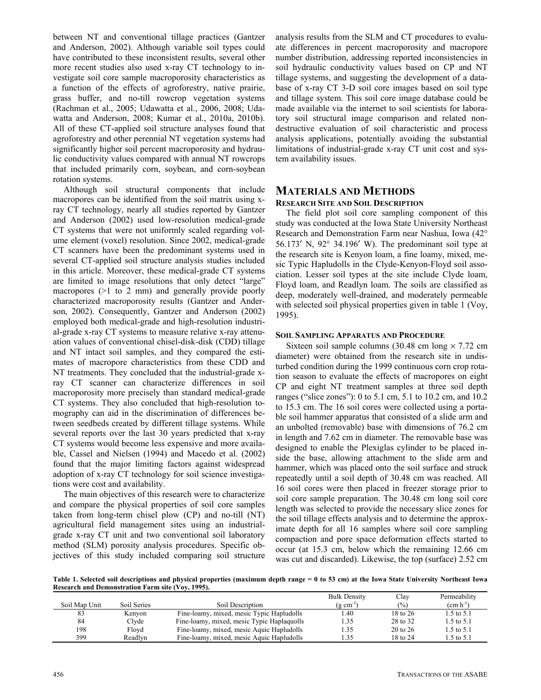between NT and conventional tillage practices (Gantzer and Anderson, 2002). Although variable soil types could have contributed to these inconsistent results, several other more recent studies also used x-ray CT technology to investigate soil core sample macroporosity characteristics as a function of the effects of agroforestry, native prairie, grass buffer, and no-till rowcrop vegetation systems (Rachman et al., 2005; Udawatta et al., 2006, 2008; Udawatta and Anderson, 2008; Kumar et al., 2010a, 2010b). All of these CT-applied soil structure analyses found that agroforestry and other perennial NT vegetation systems had significantly higher soil percent macroporosity and hydraulic conductivity values compared with annual NT rowcrops that included primarily corn, soybean, and corn-soybean rotation systems.

Although soil structural components that include macropores can be identified from the soil matrix using xray CT technology, nearly all studies reported by Gantzer and Anderson (2002) used low-resolution medical-grade CT systems that were not uniformly scaled regarding volume element (voxel) resolution. Since 2002, medical-grade CT scanners have been the predominant systems used in several CT-applied soil structure analysis studies included in this article. Moreover, these medical-grade CT systems are limited to image resolutions that only detect "large" macropores (>1 to 2 mm) and generally provide poorly characterized macroporosity results (Gantzer and Anderson, 2002). Consequently, Gantzer and Anderson (2002) employed both medical-grade and high-resolution industrial-grade x-ray CT systems to measure relative x-ray attenuation values of conventional chisel-disk-disk (CDD) tillage and NT intact soil samples, and they compared the estimates of macropore characteristics from these CDD and NT treatments. They concluded that the industrial-grade xray CT scanner can characterize differences in soil macroporosity more precisely than standard medical-grade CT systems. They also concluded that high-resolution tomography can aid in the discrimination of differences between seedbeds created by different tillage systems. While several reports over the last 30 years predicted that x-ray CT systems would become less expensive and more available, Cassel and Nielsen (1994) and Macedo et al. (2002) found that the major limiting factors against widespread adoption of x-ray CT technology for soil science investigations were cost and availability.

The main objectives of this research were to characterize and compare the physical properties of soil core samples taken from long-term chisel plow (CP) and no-till (NT) agricultural field management sites using an industrialgrade x-ray CT unit and two conventional soil laboratory method (SLM) porosity analysis procedures. Specific objectives of this study included comparing soil structure

analysis results from the SLM and CT procedures to evaluate differences in percent macroporosity and macropore number distribution, addressing reported inconsistencies in soil hydraulic conductivity values based on CP and NT tillage systems, and suggesting the development of a database of x-ray CT 3-D soil core images based on soil type and tillage system. This soil core image database could be made available via the internet to soil scientists for laboratory soil structural image comparison and related nondestructive evaluation of soil characteristic and process analysis applications, potentially avoiding the substantial limitations of industrial-grade x-ray CT unit cost and system availability issues.

# **MATERIALS AND METHODS**

### **RESEARCH SITE AND SOIL DESCRIPTION**

The field plot soil core sampling component of this study was conducted at the Iowa State University Northeast Research and Demonstration Farm near Nashua, Iowa (42° 56.173′ N, 92° 34.196′ W). The predominant soil type at the research site is Kenyon loam, a fine loamy, mixed, mesic Typic Hapludolls in the Clyde-Kenyon-Floyd soil association. Lesser soil types at the site include Clyde loam, Floyd loam, and Readlyn loam. The soils are classified as deep, moderately well-drained, and moderately permeable with selected soil physical properties given in table 1 (Voy, 1995).

### **SOIL SAMPLING APPARATUS AND PROCEDURE**

Sixteen soil sample columns (30.48 cm long  $\times$  7.72 cm diameter) were obtained from the research site in undisturbed condition during the 1999 continuous corn crop rotation season to evaluate the effects of macropores on eight CP and eight NT treatment samples at three soil depth ranges ("slice zones"): 0 to 5.1 cm, 5.1 to 10.2 cm, and 10.2 to 15.3 cm. The 16 soil cores were collected using a portable soil hammer apparatus that consisted of a slide arm and an unbolted (removable) base with dimensions of 76.2 cm in length and 7.62 cm in diameter. The removable base was designed to enable the Plexiglas cylinder to be placed inside the base, allowing attachment to the slide arm and hammer, which was placed onto the soil surface and struck repeatedly until a soil depth of 30.48 cm was reached. All 16 soil cores were then placed in freezer storage prior to soil core sample preparation. The 30.48 cm long soil core length was selected to provide the necessary slice zones for the soil tillage effects analysis and to determine the approximate depth for all 16 samples where soil core sampling compaction and pore space deformation effects started to occur (at 15.3 cm, below which the remaining 12.66 cm was cut and discarded). Likewise, the top (surface) 2.52 cm

**Table 1. Selected soil descriptions and physical properties (maximum depth range = 0 to 53 cm) at the Iowa State University Northeast Iowa Research and Demonstration Farm site (Voy, 1995).** 

|               |             |                                            | <b>Bulk Density</b>   | Clay     | Permeability  |
|---------------|-------------|--------------------------------------------|-----------------------|----------|---------------|
| Soil Map Unit | Soil Series | Soil Description                           | $(g \text{ cm}^{-3})$ | (%)      | $(cm h^{-1})$ |
| 83            | Kenyon      | Fine-loamy, mixed, mesic Typic Hapludolls  | 1.40                  | 18 to 26 | 1.5 to 5.1    |
| 84            | Clyde       | Fine-loamy, mixed, mesic Typic Haplaquolls | 1.35                  | 28 to 32 | 1.5 to 5.1    |
| 198           | Floyd       | Fine-loamy, mixed, mesic Aquic Hapludolls  | 1.35                  | 20 to 26 | 1.5 to 5.1    |
| 399           | Readlyn     | Fine-loamy, mixed, mesic Aquic Hapludolls  | 1.35                  | 18 to 24 | 1.5 to 5.1    |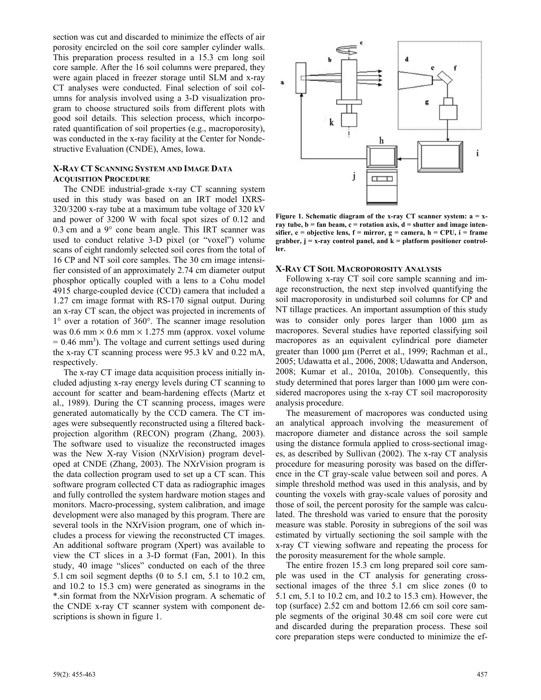section was cut and discarded to minimize the effects of air porosity encircled on the soil core sampler cylinder walls. This preparation process resulted in a 15.3 cm long soil core sample. After the 16 soil columns were prepared, they were again placed in freezer storage until SLM and x-ray CT analyses were conducted. Final selection of soil columns for analysis involved using a 3-D visualization program to choose structured soils from different plots with good soil details. This selection process, which incorporated quantification of soil properties (e.g., macroporosity), was conducted in the x-ray facility at the Center for Nondestructive Evaluation (CNDE), Ames, Iowa.

### **X-RAY CT SCANNING SYSTEM AND IMAGE DATA ACQUISITION PROCEDURE**

The CNDE industrial-grade x-ray CT scanning system used in this study was based on an IRT model IXRS-320/3200 x-ray tube at a maximum tube voltage of 320 kV and power of 3200 W with focal spot sizes of 0.12 and 0.3 cm and a 9° cone beam angle. This IRT scanner was used to conduct relative 3-D pixel (or "voxel") volume scans of eight randomly selected soil cores from the total of 16 CP and NT soil core samples. The 30 cm image intensifier consisted of an approximately 2.74 cm diameter output phosphor optically coupled with a lens to a Cohu model 4915 charge-coupled device (CCD) camera that included a 1.27 cm image format with RS-170 signal output. During an x-ray CT scan, the object was projected in increments of 1° over a rotation of 360°. The scanner image resolution was 0.6 mm  $\times$  0.6 mm  $\times$  1.275 mm (approx. voxel volume  $= 0.46$  mm<sup>3</sup>). The voltage and current settings used during the x-ray CT scanning process were 95.3 kV and 0.22 mA, respectively.

The x-ray CT image data acquisition process initially included adjusting x-ray energy levels during CT scanning to account for scatter and beam-hardening effects (Martz et al., 1989). During the CT scanning process, images were generated automatically by the CCD camera. The CT images were subsequently reconstructed using a filtered backprojection algorithm (RECON) program (Zhang, 2003). The software used to visualize the reconstructed images was the New X-ray Vision (NXrVision) program developed at CNDE (Zhang, 2003). The NXrVision program is the data collection program used to set up a CT scan. This software program collected CT data as radiographic images and fully controlled the system hardware motion stages and monitors. Macro-processing, system calibration, and image development were also managed by this program. There are several tools in the NXrVision program, one of which includes a process for viewing the reconstructed CT images. An additional software program (Xpert) was available to view the CT slices in a 3-D format (Fan, 2001). In this study, 40 image "slices" conducted on each of the three 5.1 cm soil segment depths (0 to 5.1 cm, 5.1 to 10.2 cm, and 10.2 to 15.3 cm) were generated as sinograms in the \*.sin format from the NXrVision program. A schematic of the CNDE x-ray CT scanner system with component descriptions is shown in figure 1.



**Figure 1. Schematic diagram of the x-ray CT scanner system: a = x**ray tube, **b** = fan beam, **c** = rotation axis, **d** = shutter and image inten**sifier, e = objective lens, f = mirror, g = camera, h = CPU, i = frame grabber, j = x-ray control panel, and k = platform positioner controller.** 

### **X-RAY CT SOIL MACROPOROSITY ANALYSIS**

Following x-ray CT soil core sample scanning and image reconstruction, the next step involved quantifying the soil macroporosity in undisturbed soil columns for CP and NT tillage practices. An important assumption of this study was to consider only pores larger than 1000 μm as macropores. Several studies have reported classifying soil macropores as an equivalent cylindrical pore diameter greater than 1000 μm (Perret et al., 1999; Rachman et al., 2005; Udawatta et al., 2006, 2008; Udawatta and Anderson, 2008; Kumar et al., 2010a, 2010b). Consequently, this study determined that pores larger than 1000 μm were considered macropores using the x-ray CT soil macroporosity analysis procedure.

The measurement of macropores was conducted using an analytical approach involving the measurement of macropore diameter and distance across the soil sample using the distance formula applied to cross-sectional images, as described by Sullivan (2002). The x-ray CT analysis procedure for measuring porosity was based on the difference in the CT gray-scale value between soil and pores. A simple threshold method was used in this analysis, and by counting the voxels with gray-scale values of porosity and those of soil, the percent porosity for the sample was calculated. The threshold was varied to ensure that the porosity measure was stable. Porosity in subregions of the soil was estimated by virtually sectioning the soil sample with the x-ray CT viewing software and repeating the process for the porosity measurement for the whole sample.

The entire frozen 15.3 cm long prepared soil core sample was used in the CT analysis for generating crosssectional images of the three 5.1 cm slice zones (0 to 5.1 cm, 5.1 to 10.2 cm, and 10.2 to 15.3 cm). However, the top (surface) 2.52 cm and bottom 12.66 cm soil core sample segments of the original 30.48 cm soil core were cut and discarded during the preparation process. These soil core preparation steps were conducted to minimize the ef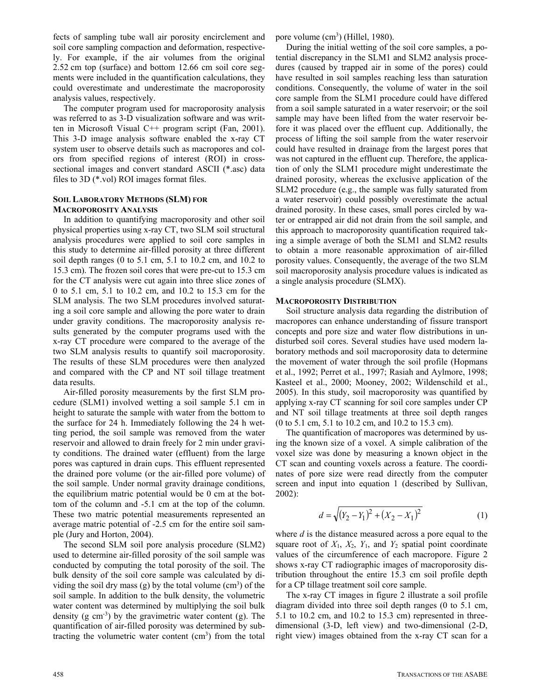fects of sampling tube wall air porosity encirclement and soil core sampling compaction and deformation, respectively. For example, if the air volumes from the original 2.52 cm top (surface) and bottom 12.66 cm soil core segments were included in the quantification calculations, they could overestimate and underestimate the macroporosity analysis values, respectively.

The computer program used for macroporosity analysis was referred to as 3-D visualization software and was written in Microsoft Visual C++ program script (Fan, 2001). This 3-D image analysis software enabled the x-ray CT system user to observe details such as macropores and colors from specified regions of interest (ROI) in crosssectional images and convert standard ASCII (\*.asc) data files to 3D (\*.vol) ROI images format files.

### **SOIL LABORATORY METHODS (SLM) FOR MACROPOROSITY ANALYSIS**

In addition to quantifying macroporosity and other soil physical properties using x-ray CT, two SLM soil structural analysis procedures were applied to soil core samples in this study to determine air-filled porosity at three different soil depth ranges (0 to 5.1 cm, 5.1 to 10.2 cm, and 10.2 to 15.3 cm). The frozen soil cores that were pre-cut to 15.3 cm for the CT analysis were cut again into three slice zones of 0 to 5.1 cm, 5.1 to 10.2 cm, and 10.2 to 15.3 cm for the SLM analysis. The two SLM procedures involved saturating a soil core sample and allowing the pore water to drain under gravity conditions. The macroporosity analysis results generated by the computer programs used with the x-ray CT procedure were compared to the average of the two SLM analysis results to quantify soil macroporosity. The results of these SLM procedures were then analyzed and compared with the CP and NT soil tillage treatment data results.

Air-filled porosity measurements by the first SLM procedure (SLM1) involved wetting a soil sample 5.1 cm in height to saturate the sample with water from the bottom to the surface for 24 h. Immediately following the 24 h wetting period, the soil sample was removed from the water reservoir and allowed to drain freely for 2 min under gravity conditions. The drained water (effluent) from the large pores was captured in drain cups. This effluent represented the drained pore volume (or the air-filled pore volume) of the soil sample. Under normal gravity drainage conditions, the equilibrium matric potential would be 0 cm at the bottom of the column and -5.1 cm at the top of the column. These two matric potential measurements represented an average matric potential of -2.5 cm for the entire soil sample (Jury and Horton, 2004).

The second SLM soil pore analysis procedure (SLM2) used to determine air-filled porosity of the soil sample was conducted by computing the total porosity of the soil. The bulk density of the soil core sample was calculated by dividing the soil dry mass  $(g)$  by the total volume  $(cm<sup>3</sup>)$  of the soil sample. In addition to the bulk density, the volumetric water content was determined by multiplying the soil bulk density  $(g \text{ cm}^{-3})$  by the gravimetric water content  $(g)$ . The quantification of air-filled porosity was determined by subtracting the volumetric water content  $(cm<sup>3</sup>)$  from the total pore volume (cm<sup>3</sup>) (Hillel, 1980).

During the initial wetting of the soil core samples, a potential discrepancy in the SLM1 and SLM2 analysis procedures (caused by trapped air in some of the pores) could have resulted in soil samples reaching less than saturation conditions. Consequently, the volume of water in the soil core sample from the SLM1 procedure could have differed from a soil sample saturated in a water reservoir; or the soil sample may have been lifted from the water reservoir before it was placed over the effluent cup. Additionally, the process of lifting the soil sample from the water reservoir could have resulted in drainage from the largest pores that was not captured in the effluent cup. Therefore, the application of only the SLM1 procedure might underestimate the drained porosity, whereas the exclusive application of the SLM2 procedure (e.g., the sample was fully saturated from a water reservoir) could possibly overestimate the actual drained porosity. In these cases, small pores circled by water or entrapped air did not drain from the soil sample, and this approach to macroporosity quantification required taking a simple average of both the SLM1 and SLM2 results to obtain a more reasonable approximation of air-filled porosity values. Consequently, the average of the two SLM soil macroporosity analysis procedure values is indicated as a single analysis procedure (SLMX).

#### **MACROPOROSITY DISTRIBUTION**

Soil structure analysis data regarding the distribution of macropores can enhance understanding of fissure transport concepts and pore size and water flow distributions in undisturbed soil cores. Several studies have used modern laboratory methods and soil macroporosity data to determine the movement of water through the soil profile (Hopmans et al., 1992; Perret et al., 1997; Rasiah and Aylmore, 1998; Kasteel et al., 2000; Mooney, 2002; Wildenschild et al., 2005). In this study, soil macroporosity was quantified by applying x-ray CT scanning for soil core samples under CP and NT soil tillage treatments at three soil depth ranges (0 to 5.1 cm, 5.1 to 10.2 cm, and 10.2 to 15.3 cm).

The quantification of macropores was determined by using the known size of a voxel. A simple calibration of the voxel size was done by measuring a known object in the CT scan and counting voxels across a feature. The coordinates of pore size were read directly from the computer screen and input into equation 1 (described by Sullivan, 2002):

$$
d = \sqrt{(Y_2 - Y_1)^2 + (X_2 - X_1)^2}
$$
 (1)

where *d* is the distance measured across a pore equal to the square root of  $X_1$ ,  $X_2$ ,  $Y_1$ , and  $Y_2$  spatial point coordinate values of the circumference of each macropore. Figure 2 shows x-ray CT radiographic images of macroporosity distribution throughout the entire 15.3 cm soil profile depth for a CP tillage treatment soil core sample.

The x-ray CT images in figure 2 illustrate a soil profile diagram divided into three soil depth ranges (0 to 5.1 cm, 5.1 to 10.2 cm, and 10.2 to 15.3 cm) represented in threedimensional (3-D, left view) and two-dimensional (2-D, right view) images obtained from the x-ray CT scan for a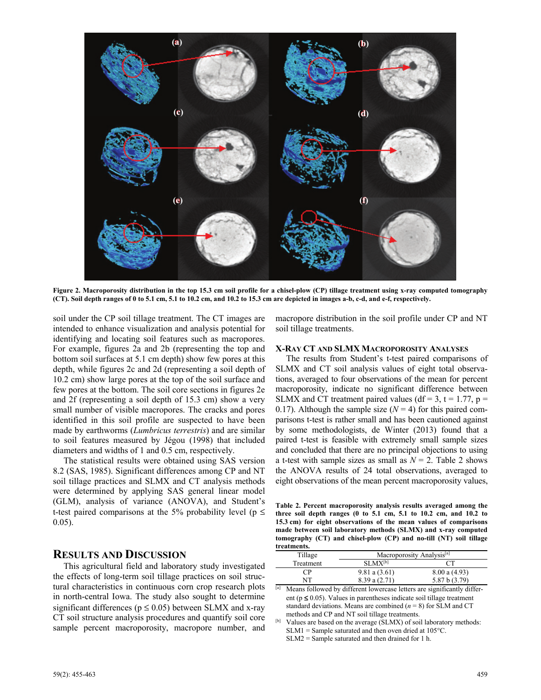

**Figure 2. Macroporosity distribution in the top 15.3 cm soil profile for a chisel-plow (CP) tillage treatment using x-ray computed tomography (CT). Soil depth ranges of 0 to 5.1 cm, 5.1 to 10.2 cm, and 10.2 to 15.3 cm are depicted in images a-b, c-d, and e-f, respectively.** 

soil under the CP soil tillage treatment. The CT images are intended to enhance visualization and analysis potential for identifying and locating soil features such as macropores. For example, figures 2a and 2b (representing the top and bottom soil surfaces at 5.1 cm depth) show few pores at this depth, while figures 2c and 2d (representing a soil depth of 10.2 cm) show large pores at the top of the soil surface and few pores at the bottom. The soil core sections in figures 2e and 2f (representing a soil depth of 15.3 cm) show a very small number of visible macropores. The cracks and pores identified in this soil profile are suspected to have been made by earthworms (*Lumbricus terrestris*) and are similar to soil features measured by Jégou (1998) that included diameters and widths of 1 and 0.5 cm, respectively.

The statistical results were obtained using SAS version 8.2 (SAS, 1985). Significant differences among CP and NT soil tillage practices and SLMX and CT analysis methods were determined by applying SAS general linear model (GLM), analysis of variance (ANOVA), and Student's t-test paired comparisons at the 5% probability level ( $p \leq$ 0.05).

### **RESULTS AND DISCUSSION**

This agricultural field and laboratory study investigated the effects of long-term soil tillage practices on soil structural characteristics in continuous corn crop research plots in north-central Iowa. The study also sought to determine significant differences ( $p \le 0.05$ ) between SLMX and x-ray CT soil structure analysis procedures and quantify soil core sample percent macroporosity, macropore number, and macropore distribution in the soil profile under CP and NT soil tillage treatments.

#### **X-RAY CT AND SLMX MACROPOROSITY ANALYSES**

The results from Student's t-test paired comparisons of SLMX and CT soil analysis values of eight total observations, averaged to four observations of the mean for percent macroporosity, indicate no significant difference between SLMX and CT treatment paired values (df = 3, t = 1.77, p = 0.17). Although the sample size  $(N = 4)$  for this paired comparisons t-test is rather small and has been cautioned against by some methodologists, de Winter (2013) found that a paired t-test is feasible with extremely small sample sizes and concluded that there are no principal objections to using a t-test with sample sizes as small as  $N = 2$ . Table 2 shows the ANOVA results of 24 total observations, averaged to eight observations of the mean percent macroporosity values,

**Table 2. Percent macroporosity analysis results averaged among the three soil depth ranges (0 to 5.1 cm, 5.1 to 10.2 cm, and 10.2 to 15.3 cm) for eight observations of the mean values of comparisons made between soil laboratory methods (SLMX) and x-ray computed tomography (CT) and chisel-plow (CP) and no-till (NT) soil tillage treatments.** 

| <br>Tillage | Macroporosity Analysis <sup>[a]</sup> |               |  |  |
|-------------|---------------------------------------|---------------|--|--|
| Treatment   | $SI$ $MX^{[b]}$                       |               |  |  |
| ΓP          | $9.81$ a $(3.61)$                     | 8.00 a (4.93) |  |  |
| NT          | 8.39a(2.71)                           | 5.87 b (3.79) |  |  |
| . .         |                                       |               |  |  |

[a] Means followed by different lowercase letters are significantly different ( $p \le 0.05$ ). Values in parentheses indicate soil tillage treatment standard deviations. Means are combined  $(n = 8)$  for SLM and CT methods and CP and NT soil tillage treatments.

[b] Values are based on the average (SLMX) of soil laboratory methods:  $SLM1 =$  Sample saturated and then oven dried at 105 $°C$ . SLM2 = Sample saturated and then drained for 1 h.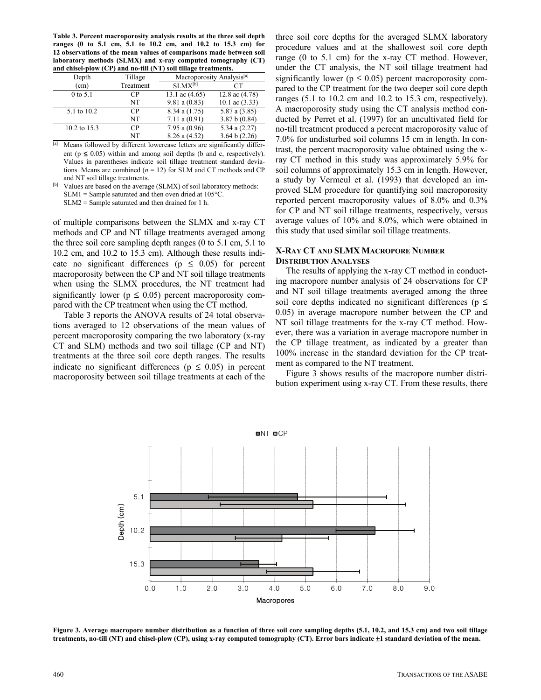**Table 3. Percent macroporosity analysis results at the three soil depth ranges (0 to 5.1 cm, 5.1 to 10.2 cm, and 10.2 to 15.3 cm) for 12 observations of the mean values of comparisons made between soil laboratory methods (SLMX) and x-ray computed tomography (CT)**

| and chisel-plow (CP) and no-till (NT) soil tillage treatments. |                |                                       |                  |  |  |  |
|----------------------------------------------------------------|----------------|---------------------------------------|------------------|--|--|--|
| Depth                                                          | Tillage        | Macroporosity Analysis <sup>[a]</sup> |                  |  |  |  |
| (cm)                                                           | Treatment      | SLMX <sup>[b]</sup>                   | CТ               |  |  |  |
| $0$ to 5.1                                                     | C <sub>P</sub> | 13.1 ac $(4.65)$                      | 12.8 ac $(4.78)$ |  |  |  |
|                                                                | NT             | 9.81 a (0.83)                         | 10.1 ac $(3.33)$ |  |  |  |
| 5.1 to 10.2                                                    | CP.            | 8.34a(1.75)                           | 5.87 a (3.85)    |  |  |  |
|                                                                | NT             | 7.11 a (0.91)                         | 3.87 b (0.84)    |  |  |  |
| 10.2 to 15.3                                                   | CP.            | 7.95 a $(0.96)$                       | 5.34 a $(2.27)$  |  |  |  |
|                                                                | NT             | $8.26$ a $(4.52)$                     | 3.64 b $(2.26)$  |  |  |  |

 $\overline{[a]}$  Means followed by different lowercase letters are significantly different ( $p \le 0.05$ ) within and among soil depths (b and c, respectively). Values in parentheses indicate soil tillage treatment standard deviations. Means are combined  $(n = 12)$  for SLM and CT methods and CP

SLM2 = Sample saturated and then drained for 1 h.

of multiple comparisons between the SLMX and x-ray CT methods and CP and NT tillage treatments averaged among the three soil core sampling depth ranges (0 to 5.1 cm, 5.1 to 10.2 cm, and 10.2 to 15.3 cm). Although these results indicate no significant differences ( $p \leq 0.05$ ) for percent macroporosity between the CP and NT soil tillage treatments when using the SLMX procedures, the NT treatment had significantly lower ( $p \leq 0.05$ ) percent macroporosity compared with the CP treatment when using the CT method.

Table 3 reports the ANOVA results of 24 total observations averaged to 12 observations of the mean values of percent macroporosity comparing the two laboratory (x-ray CT and SLM) methods and two soil tillage (CP and NT) treatments at the three soil core depth ranges. The results indicate no significant differences ( $p \leq 0.05$ ) in percent macroporosity between soil tillage treatments at each of the

three soil core depths for the averaged SLMX laboratory procedure values and at the shallowest soil core depth range (0 to 5.1 cm) for the x-ray CT method. However, under the CT analysis, the NT soil tillage treatment had significantly lower ( $p \le 0.05$ ) percent macroporosity compared to the CP treatment for the two deeper soil core depth ranges (5.1 to 10.2 cm and 10.2 to 15.3 cm, respectively). A macroporosity study using the CT analysis method conducted by Perret et al. (1997) for an uncultivated field for no-till treatment produced a percent macroporosity value of 7.0% for undisturbed soil columns 15 cm in length. In contrast, the percent macroporosity value obtained using the xray CT method in this study was approximately 5.9% for soil columns of approximately 15.3 cm in length. However, a study by Vermeul et al. (1993) that developed an improved SLM procedure for quantifying soil macroporosity reported percent macroporosity values of 8.0% and 0.3% for CP and NT soil tillage treatments, respectively, versus average values of 10% and 8.0%, which were obtained in this study that used similar soil tillage treatments.

#### **X-RAY CT AND SLMX MACROPORE NUMBER DISTRIBUTION ANALYSES**

The results of applying the x-ray CT method in conducting macropore number analysis of 24 observations for CP and NT soil tillage treatments averaged among the three soil core depths indicated no significant differences ( $p \leq$ 0.05) in average macropore number between the CP and NT soil tillage treatments for the x-ray CT method. However, there was a variation in average macropore number in the CP tillage treatment, as indicated by a greater than 100% increase in the standard deviation for the CP treatment as compared to the NT treatment.

Figure 3 shows results of the macropore number distribution experiment using x-ray CT. From these results, there



**Figure 3. Average macropore number distribution as a function of three soil core sampling depths (5.1, 10.2, and 15.3 cm) and two soil tillage treatments, no-till (NT) and chisel-plow (CP), using x-ray computed tomography (CT). Error bars indicate** ±**1 standard deviation of the mean.** 

and NT soil tillage treatments. [b] Values are based on the average (SLMX) of soil laboratory methods:  $SLM1 =$  Sample saturated and then oven dried at 105 $°C$ .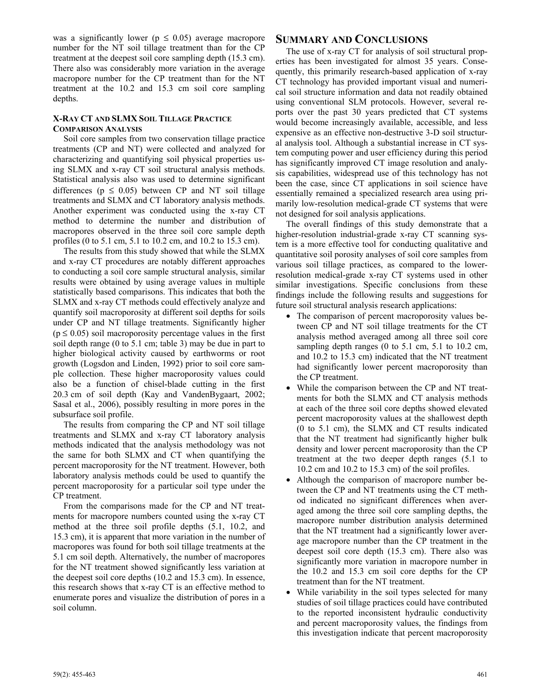was a significantly lower ( $p \leq 0.05$ ) average macropore number for the NT soil tillage treatment than for the CP treatment at the deepest soil core sampling depth (15.3 cm). There also was considerably more variation in the average macropore number for the CP treatment than for the NT treatment at the 10.2 and 15.3 cm soil core sampling depths.

### **X-RAY CT AND SLMX SOIL TILLAGE PRACTICE COMPARISON ANALYSIS**

Soil core samples from two conservation tillage practice treatments (CP and NT) were collected and analyzed for characterizing and quantifying soil physical properties using SLMX and x-ray CT soil structural analysis methods. Statistical analysis also was used to determine significant differences ( $p \le 0.05$ ) between CP and NT soil tillage treatments and SLMX and CT laboratory analysis methods. Another experiment was conducted using the x-ray CT method to determine the number and distribution of macropores observed in the three soil core sample depth profiles (0 to 5.1 cm, 5.1 to 10.2 cm, and 10.2 to 15.3 cm).

The results from this study showed that while the SLMX and x-ray CT procedures are notably different approaches to conducting a soil core sample structural analysis, similar results were obtained by using average values in multiple statistically based comparisons. This indicates that both the SLMX and x-ray CT methods could effectively analyze and quantify soil macroporosity at different soil depths for soils under CP and NT tillage treatments. Significantly higher  $(p \le 0.05)$  soil macroporosity percentage values in the first soil depth range (0 to 5.1 cm; table 3) may be due in part to higher biological activity caused by earthworms or root growth (Logsdon and Linden, 1992) prior to soil core sample collection. These higher macroporosity values could also be a function of chisel-blade cutting in the first 20.3 cm of soil depth (Kay and VandenBygaart, 2002; Sasal et al., 2006), possibly resulting in more pores in the subsurface soil profile.

The results from comparing the CP and NT soil tillage treatments and SLMX and x-ray CT laboratory analysis methods indicated that the analysis methodology was not the same for both SLMX and CT when quantifying the percent macroporosity for the NT treatment. However, both laboratory analysis methods could be used to quantify the percent macroporosity for a particular soil type under the CP treatment.

From the comparisons made for the CP and NT treatments for macropore numbers counted using the x-ray CT method at the three soil profile depths (5.1, 10.2, and 15.3 cm), it is apparent that more variation in the number of macropores was found for both soil tillage treatments at the 5.1 cm soil depth. Alternatively, the number of macropores for the NT treatment showed significantly less variation at the deepest soil core depths (10.2 and 15.3 cm). In essence, this research shows that x-ray CT is an effective method to enumerate pores and visualize the distribution of pores in a soil column.

### **SUMMARY AND CONCLUSIONS**

The use of x-ray CT for analysis of soil structural properties has been investigated for almost 35 years. Consequently, this primarily research-based application of x-ray CT technology has provided important visual and numerical soil structure information and data not readily obtained using conventional SLM protocols. However, several reports over the past 30 years predicted that CT systems would become increasingly available, accessible, and less expensive as an effective non-destructive 3-D soil structural analysis tool. Although a substantial increase in CT system computing power and user efficiency during this period has significantly improved CT image resolution and analysis capabilities, widespread use of this technology has not been the case, since CT applications in soil science have essentially remained a specialized research area using primarily low-resolution medical-grade CT systems that were not designed for soil analysis applications.

The overall findings of this study demonstrate that a higher-resolution industrial-grade x-ray CT scanning system is a more effective tool for conducting qualitative and quantitative soil porosity analyses of soil core samples from various soil tillage practices, as compared to the lowerresolution medical-grade x-ray CT systems used in other similar investigations. Specific conclusions from these findings include the following results and suggestions for future soil structural analysis research applications:

- The comparison of percent macroporosity values between CP and NT soil tillage treatments for the CT analysis method averaged among all three soil core sampling depth ranges (0 to 5.1 cm, 5.1 to 10.2 cm, and 10.2 to 15.3 cm) indicated that the NT treatment had significantly lower percent macroporosity than the CP treatment.
- While the comparison between the CP and NT treatments for both the SLMX and CT analysis methods at each of the three soil core depths showed elevated percent macroporosity values at the shallowest depth (0 to 5.1 cm), the SLMX and CT results indicated that the NT treatment had significantly higher bulk density and lower percent macroporosity than the CP treatment at the two deeper depth ranges (5.1 to 10.2 cm and 10.2 to 15.3 cm) of the soil profiles.
- Although the comparison of macropore number between the CP and NT treatments using the CT method indicated no significant differences when averaged among the three soil core sampling depths, the macropore number distribution analysis determined that the NT treatment had a significantly lower average macropore number than the CP treatment in the deepest soil core depth (15.3 cm). There also was significantly more variation in macropore number in the 10.2 and 15.3 cm soil core depths for the CP treatment than for the NT treatment.
- While variability in the soil types selected for many studies of soil tillage practices could have contributed to the reported inconsistent hydraulic conductivity and percent macroporosity values, the findings from this investigation indicate that percent macroporosity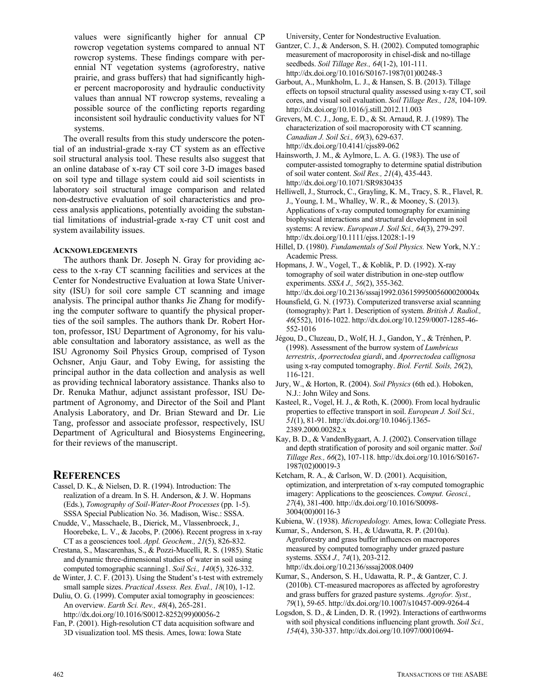values were significantly higher for annual CP rowcrop vegetation systems compared to annual NT rowcrop systems. These findings compare with perennial NT vegetation systems (agroforestry, native prairie, and grass buffers) that had significantly higher percent macroporosity and hydraulic conductivity values than annual NT rowcrop systems, revealing a possible source of the conflicting reports regarding inconsistent soil hydraulic conductivity values for NT systems.

The overall results from this study underscore the potential of an industrial-grade x-ray CT system as an effective soil structural analysis tool. These results also suggest that an online database of x-ray CT soil core 3-D images based on soil type and tillage system could aid soil scientists in laboratory soil structural image comparison and related non-destructive evaluation of soil characteristics and process analysis applications, potentially avoiding the substantial limitations of industrial-grade x-ray CT unit cost and system availability issues.

### **ACKNOWLEDGEMENTS**

The authors thank Dr. Joseph N. Gray for providing access to the x-ray CT scanning facilities and services at the Center for Nondestructive Evaluation at Iowa State University (ISU) for soil core sample CT scanning and image analysis. The principal author thanks Jie Zhang for modifying the computer software to quantify the physical properties of the soil samples. The authors thank Dr. Robert Horton, professor, ISU Department of Agronomy, for his valuable consultation and laboratory assistance, as well as the ISU Agronomy Soil Physics Group, comprised of Tyson Ochsner, Anju Gaur, and Toby Ewing, for assisting the principal author in the data collection and analysis as well as providing technical laboratory assistance. Thanks also to Dr. Renuka Mathur, adjunct assistant professor, ISU Department of Agronomy, and Director of the Soil and Plant Analysis Laboratory, and Dr. Brian Steward and Dr. Lie Tang, professor and associate professor, respectively, ISU Department of Agricultural and Biosystems Engineering, for their reviews of the manuscript.

## **REFERENCES**

- Cassel, D. K., & Nielsen, D. R. (1994). Introduction: The realization of a dream. In S. H. Anderson, & J. W. Hopmans (Eds.), *Tomography of Soil-Water-Root Processes* (pp. 1-5). SSSA Special Publication No. 36. Madison, Wisc.: SSSA.
- Cnudde, V., Masschaele, B., Dierick, M., Vlassenbroeck, J., Hoorebeke, L. V., & Jacobs, P. (2006). Recent progress in x-ray CT as a geosciences tool. *Appl. Geochem., 21*(5), 826-832.
- Crestana, S., Mascarenhas, S., & Pozzi-Mucelli, R. S. (1985). Static and dynamic three-dimensional studies of water in soil using computed tomographic scanning1. *Soil Sci., 140*(5), 326-332.
- de Winter, J. C. F. (2013). Using the Student's t-test with extremely small sample sizes. *Practical Assess. Res. Eval., 18*(10), 1-12.
- Duliu, O. G. (1999). Computer axial tomography in geosciences: An overview. *Earth Sci. Rev., 48*(4), 265-281. [http://dx.doi.org/10.1016/S0012-8252\(99\)00056-2](http://dx.doi.org/10.1016/S0012-8252(99)00056-2)
- Fan, P. (2001). High-resolution CT data acquisition software and 3D visualization tool. MS thesis. Ames, Iowa: Iowa State

University, Center for Nondestructive Evaluation.

- Gantzer, C. J., & Anderson, S. H. (2002). Computed tomographic measurement of macroporosity in chisel-disk and no-tillage seedbeds. *Soil Tillage Res., 64*(1-2), 101-111. [http://dx.doi.org/10.1016/S0167-1987\(01\)00248-3](http://dx.doi.org/10.1016/S0167-1987(01)00248-3)
- Garbout, A., Munkholm, L. J., & Hansen, S. B. (2013). Tillage effects on topsoil structural quality assessed using x-ray CT, soil cores, and visual soil evaluation. *Soil Tillage Res., 128*, 104-109. http://dx.doi.org/10.1016/j.still.2012.11.003
- Grevers, M. C. J., Jong, E. D., & St. Arnaud, R. J. (1989). The characterization of soil macroporosity with CT scanning. *Canadian J. Soil Sci., 69*(3), 629-637. http://dx.doi.org/10.4141/cjss89-062
- Hainsworth, J. M., & Aylmore, L. A. G. (1983). The use of computer-assisted tomography to determine spatial distribution of soil water content. *Soil Res., 21*(4), 435-443. http://dx.doi.org/10.1071/SR9830435
- Helliwell, J., Sturrock, C., Grayling, K. M., Tracy, S. R., Flavel, R. J., Young, I. M., Whalley, W. R., & Mooney, S. (2013). Applications of x-ray computed tomography for examining biophysical interactions and structural development in soil systems: A review. *European J. Soil Sci., 64*(3), 279-297. http://dx.doi.org/10.1111/ejss.12028:1-19
- Hillel, D. (1980). *Fundamentals of Soil Physics.* New York, N.Y.: Academic Press.
- Hopmans, J. W., Vogel, T., & Koblik, P. D. (1992). X-ray tomography of soil water distribution in one-step outflow experiments. *SSSA J., 56*(2), 355-362. http://dx.doi.org/10.2136/sssaj1992.03615995005600020004x
- Hounsfield, G. N. (1973). Computerized transverse axial scanning (tomography): Part 1. Description of system. *British J. Radiol., 46*(552), 1016-1022. http://dx.doi.org/10.1259/0007-1285-46- 552-1016
- Jégou, D., Cluzeau, D., Wolf, H. J., Gandon, Y., & Trénhen, P. (1998). Assessment of the burrow system of *Lumbricus terrestris*, *Aporrectodea giardi*, and *Aporrectodea callignosa* using x-ray computed tomography. *Biol. Fertil. Soils, 26*(2), 116-121.
- Jury, W., & Horton, R. (2004). *Soil Physics* (6th ed.). Hoboken, N.J.: John Wiley and Sons.
- Kasteel, R., Vogel, H. J., & Roth, K. (2000). From local hydraulic properties to effective transport in soil. *European J. Soil Sci., 51*(1), 81-91. http://dx.doi.org/10.1046/j.1365- 2389.2000.00282.x
- Kay, B. D., & VandenBygaart, A. J. (2002). Conservation tillage and depth stratification of porosity and soil organic matter. *Soil Tillage Res., 66*(2), 107-118. [http://dx.doi.org/10.1016/S0167-](http://dx.doi.org/10.1016/S0167-1987(02)00019-3) 1987(02)00019-3
- Ketcham, R. A., & Carlson, W. D. (2001). Acquisition, optimization, and interpretation of x-ray computed tomographic imagery: Applications to the geosciences. *Comput. Geosci., 27*(4), 381-400. [http://dx.doi.org/10.1016/S0098-](. http://dx.doi.org/10.1016/S0098-3004(00)00116-3) 3004(00)00116-3
- Kubiena, W. (1938). *Micropedology.* Ames, Iowa: Collegiate Press.
- Kumar, S., Anderson, S. H., & Udawatta, R. P. (2010a). Agroforestry and grass buffer influences on macropores measured by computed tomography under grazed pasture systems. *SSSA J., 74*(1), 203-212. http://dx.doi.org/10.2136/sssaj2008.0409
- Kumar, S., Anderson, S. H., Udawatta, R. P., & Gantzer, C. J. (2010b). CT-measured macropores as affected by agroforestry and grass buffers for grazed pasture systems. *Agrofor. Syst., 79*(1), 59-65. http://dx.doi.org/10.1007/s10457-009-9264-4
- Logsdon, S. D., & Linden, D. R. (1992). Interactions of earthworms with soil physical conditions influencing plant growth. *Soil Sci., 154*(4), 330-337. [http://dx.doi.org/10.1097/00010694-](. http://dx.doi.org/10.1097/00010694-199210000-00009)